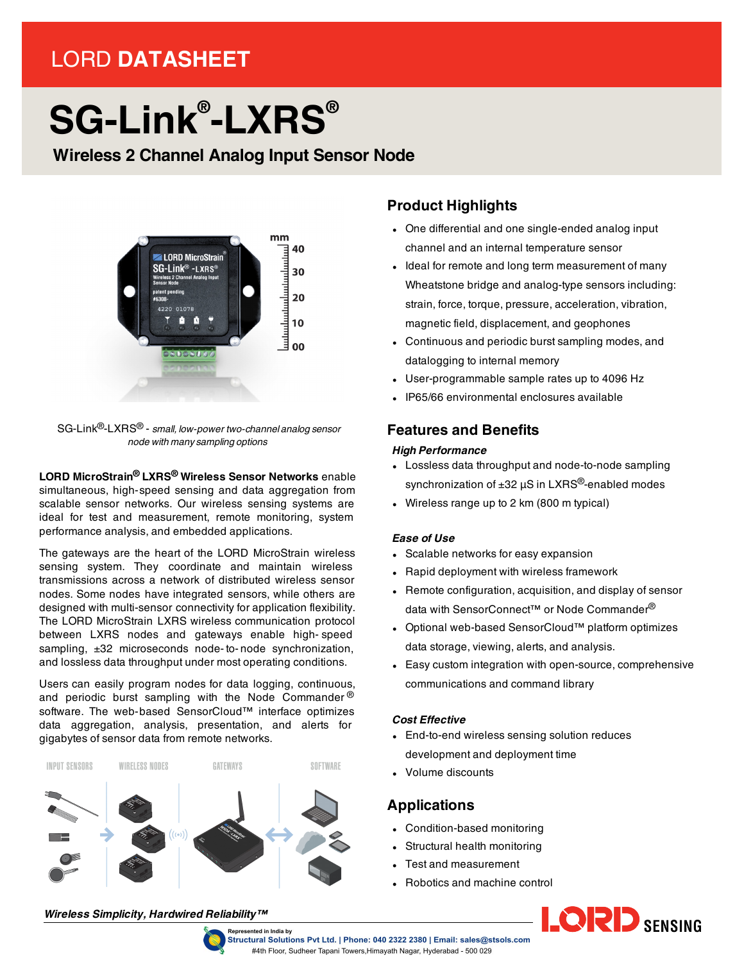# LORD **DATASHEET**

# **SG-Link® -LXRS®**

**Wireless 2 Channel Analog Input Sensor Node**



SG-Link®-LXRS® - *small, low-power two-channel analog sensor node with many sampling options*

#### **LORD MicroStrain® LXRS® Wireless Sensor Networks** enable simultaneous, high-speed sensing and data aggregation from scalable sensor networks. Our wireless sensing systems are ideal for test and measurement, remote monitoring, system performance analysis, and embedded applications.

The gateways are the heart of the LORD MicroStrain wireless sensing system. They coordinate and maintain wireless transmissions across a network of distributed wireless sensor nodes. Some nodes have integrated sensors, while others are designed with multi-sensor connectivity for application flexibility. The LORD MicroStrain LXRS wireless communication protocol between LXRS nodes and gateways enable high- speed sampling,  $\pm 32$  microseconds node-to-node synchronization, and lossless data throughput under most operating conditions.

Users can easily program nodes for data logging, continuous, and periodic burst sampling with the Node Commander  $\mathcal{P}$ software. The web-based SensorCloud™ interface optimizes data aggregation, analysis, presentation, and alerts for gigabytes of sensor data from remote networks.



#### *Wireless Simplicity, Hardwired Reliability™*



# **Product Highlights**

- One differential and one single-ended analog input channel and an internal temperature sensor
- Ideal for remote and long term measurement of many Wheatstone bridge and analog-type sensors including: strain, force, torque, pressure, acceleration, vibration, magnetic field, displacement, and geophones
- Continuous and periodic burst sampling modes, and datalogging to internal memory
- User-programmable sample rates up to 4096 Hz
- <sup>l</sup> IP65/66 environmental enclosures available

### **Features and Benefits**

#### *High Performance*

- Lossless data throughput and node-to-node sampling synchronization of  $\pm 32$   $\mu$ S in LXRS<sup>®</sup>-enabled modes
- Wireless range up to  $2 \text{ km}$  (800 m typical)

#### *Ease of Use*

- Scalable networks for easy expansion
- Rapid deployment with wireless framework
- Remote configuration, acquisition, and display of sensor data with SensorConnect™ or Node Commander<sup>®</sup>
- Optional web-based SensorCloud™ platform optimizes data storage, viewing, alerts, and analysis.
- Easy custom integration with open-source, comprehensive communications and command library

#### *Cost Effective*

- End-to-end wireless sensing solution reduces development and deployment time
- Volume discounts

## **Applications**

- Condition-based monitoring
- Structural health monitoring
- Test and measurement
- Robotics and machine control



Structural Solutions Pvt Ltd. | Phone: 040 2322 2380 | Email: sales@stsols.com #4th Floor, Sudheer Tapani Towers, Himayath Nagar, Hyderabad - 500 029